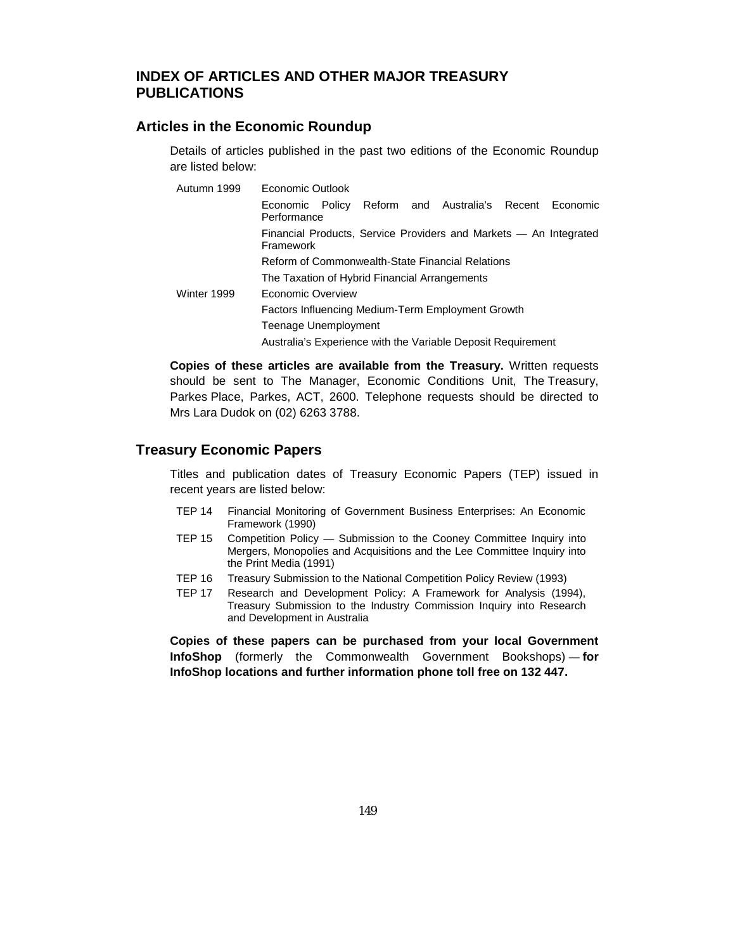# **INDEX OF ARTICLES AND OTHER MAJOR TREASURY PUBLICATIONS**

## **Articles in the Economic Roundup**

Details of articles published in the past two editions of the Economic Roundup are listed below:

| Autumn 1999 | Economic Outlook                                                               |  |  |  |
|-------------|--------------------------------------------------------------------------------|--|--|--|
|             | Economic Policy Reform and Australia's Recent Economic<br>Performance          |  |  |  |
|             | Financial Products, Service Providers and Markets - An Integrated<br>Framework |  |  |  |
|             | Reform of Commonwealth-State Financial Relations                               |  |  |  |
|             | The Taxation of Hybrid Financial Arrangements                                  |  |  |  |
| Winter 1999 | Economic Overview                                                              |  |  |  |
|             | Factors Influencing Medium-Term Employment Growth                              |  |  |  |
|             | Teenage Unemployment                                                           |  |  |  |
|             | Australia's Experience with the Variable Deposit Requirement                   |  |  |  |

**Copies of these articles are available from the Treasury.** Written requests should be sent to The Manager, Economic Conditions Unit, The Treasury, Parkes Place, Parkes, ACT, 2600. Telephone requests should be directed to Mrs Lara Dudok on (02) 6263 3788.

## **Treasury Economic Papers**

Titles and publication dates of Treasury Economic Papers (TEP) issued in recent years are listed below:

- TEP 14 Financial Monitoring of Government Business Enterprises: An Economic Framework (1990)
- TEP 15 Competition Policy Submission to the Cooney Committee Inquiry into Mergers, Monopolies and Acquisitions and the Lee Committee Inquiry into the Print Media (1991)
- TEP 16 Treasury Submission to the National Competition Policy Review (1993)
- TEP 17 Research and Development Policy: A Framework for Analysis (1994), Treasury Submission to the Industry Commission Inquiry into Research and Development in Australia

**Copies of these papers can be purchased from your local Government InfoShop** (formerly the Commonwealth Government Bookshops) — **for InfoShop locations and further information phone toll free on 132 447.**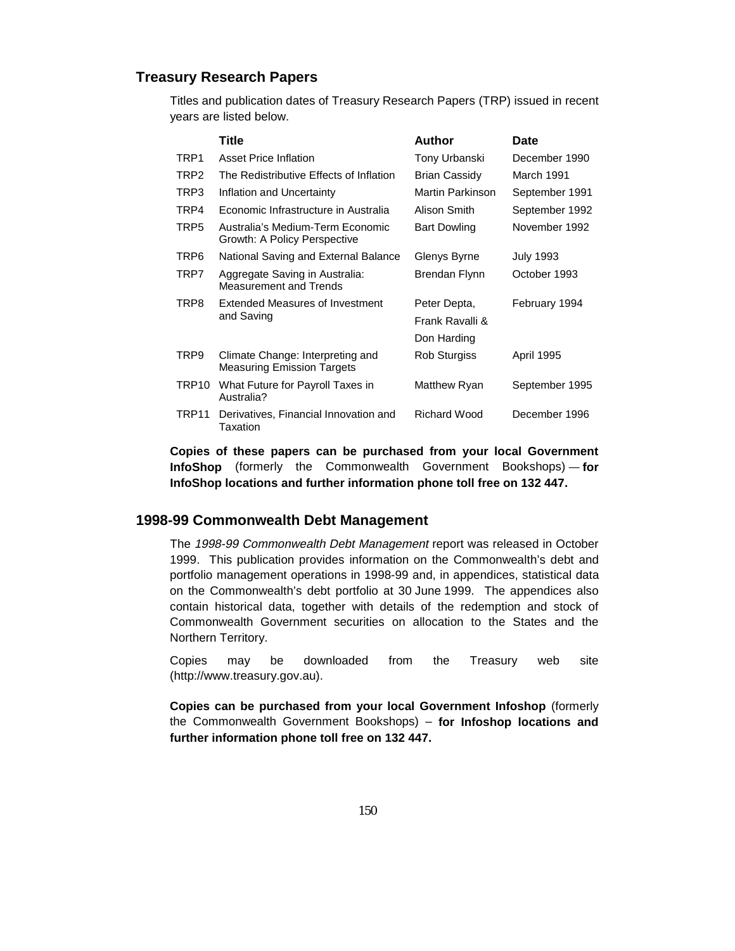### **Treasury Research Papers**

Titles and publication dates of Treasury Research Papers (TRP) issued in recent years are listed below.

|       | Title                                                                 | Author               | Date              |
|-------|-----------------------------------------------------------------------|----------------------|-------------------|
| TRP1  | Asset Price Inflation                                                 | Tony Urbanski        | December 1990     |
| TRP2  | The Redistributive Effects of Inflation                               | <b>Brian Cassidy</b> | March 1991        |
| TRP3  | Inflation and Uncertainty                                             | Martin Parkinson     | September 1991    |
| TRP4  | Economic Infrastructure in Australia                                  | Alison Smith         | September 1992    |
| TRP5  | Australia's Medium-Term Economic<br>Growth: A Policy Perspective      | <b>Bart Dowling</b>  | November 1992     |
| TRP6  | National Saving and External Balance                                  | Glenys Byrne         | <b>July 1993</b>  |
| TRP7  | Aggregate Saving in Australia:<br><b>Measurement and Trends</b>       | Brendan Flynn        | October 1993      |
| TRP8  | <b>Extended Measures of Investment</b><br>and Saving                  | Peter Depta,         | February 1994     |
|       |                                                                       | Frank Ravalli &      |                   |
|       |                                                                       | Don Harding          |                   |
| TRP9  | Climate Change: Interpreting and<br><b>Measuring Emission Targets</b> | <b>Rob Sturgiss</b>  | <b>April 1995</b> |
| TRP10 | What Future for Payroll Taxes in<br>Australia?                        | Matthew Ryan         | September 1995    |
| TRP11 | Derivatives, Financial Innovation and<br>Taxation                     | Richard Wood         | December 1996     |

**Copies of these papers can be purchased from your local Government InfoShop** (formerly the Commonwealth Government Bookshops) — **for InfoShop locations and further information phone toll free on 132 447.**

#### **1998-99 Commonwealth Debt Management**

The 1998-99 Commonwealth Debt Management report was released in October 1999. This publication provides information on the Commonwealth's debt and portfolio management operations in 1998-99 and, in appendices, statistical data on the Commonwealth's debt portfolio at 30 June 1999. The appendices also contain historical data, together with details of the redemption and stock of Commonwealth Government securities on allocation to the States and the Northern Territory.

Copies may be downloaded from the Treasury web site (http://www.treasury.gov.au).

**Copies can be purchased from your local Government Infoshop** (formerly the Commonwealth Government Bookshops) – **for Infoshop locations and further information phone toll free on 132 447.**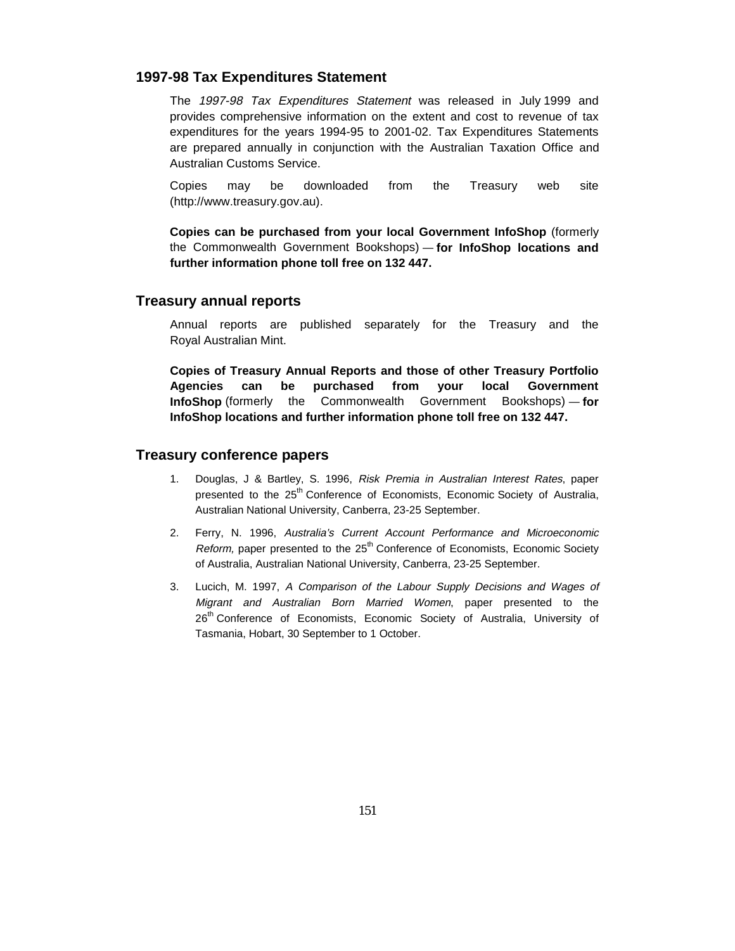#### **1997-98 Tax Expenditures Statement**

The 1997-98 Tax Expenditures Statement was released in July 1999 and provides comprehensive information on the extent and cost to revenue of tax expenditures for the years 1994-95 to 2001-02. Tax Expenditures Statements are prepared annually in conjunction with the Australian Taxation Office and Australian Customs Service.

Copies may be downloaded from the Treasury web site (http://www.treasury.gov.au).

**Copies can be purchased from your local Government InfoShop** (formerly the Commonwealth Government Bookshops) — **for InfoShop locations and further information phone toll free on 132 447.**

#### **Treasury annual reports**

Annual reports are published separately for the Treasury and the Royal Australian Mint.

**Copies of Treasury Annual Reports and those of other Treasury Portfolio Agencies can be purchased from your local Government InfoShop** (formerly the Commonwealth Government Bookshops) — **for InfoShop locations and further information phone toll free on 132 447.**

### **Treasury conference papers**

- 1. Douglas, J & Bartley, S. 1996, Risk Premia in Australian Interest Rates, paper presented to the 25<sup>th</sup> Conference of Economists, Economic Society of Australia, Australian National University, Canberra, 23-25 September.
- 2. Ferry, N. 1996, Australia's Current Account Performance and Microeconomic Reform, paper presented to the  $25<sup>th</sup>$  Conference of Economists, Economic Society of Australia, Australian National University, Canberra, 23-25 September.
- 3. Lucich, M. 1997, A Comparison of the Labour Supply Decisions and Wages of Migrant and Australian Born Married Women, paper presented to the 26<sup>th</sup> Conference of Economists, Economic Society of Australia, University of Tasmania, Hobart, 30 September to 1 October.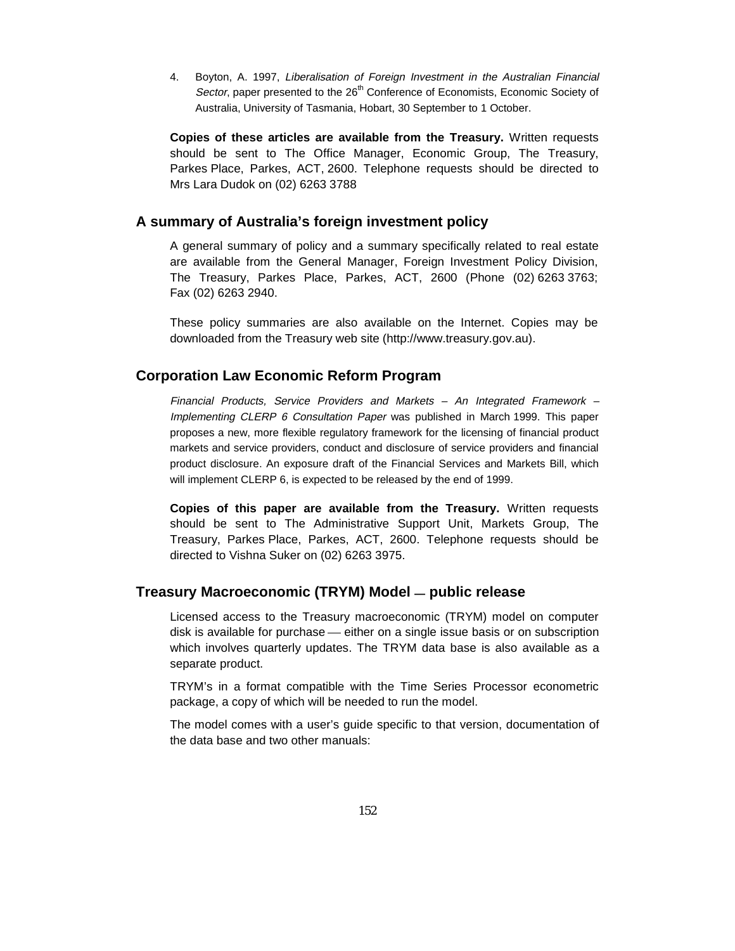4. Boyton, A. 1997, Liberalisation of Foreign Investment in the Australian Financial Sector, paper presented to the 26<sup>th</sup> Conference of Economists, Economic Society of Australia, University of Tasmania, Hobart, 30 September to 1 October.

**Copies of these articles are available from the Treasury.** Written requests should be sent to The Office Manager, Economic Group, The Treasury, Parkes Place, Parkes, ACT, 2600. Telephone requests should be directed to Mrs Lara Dudok on (02) 6263 3788

#### **A summary of Australia's foreign investment policy**

A general summary of policy and a summary specifically related to real estate are available from the General Manager, Foreign Investment Policy Division, The Treasury, Parkes Place, Parkes, ACT, 2600 (Phone (02) 6263 3763; Fax (02) 6263 2940.

These policy summaries are also available on the Internet. Copies may be downloaded from the Treasury web site (http://www.treasury.gov.au).

### **Corporation Law Economic Reform Program**

Financial Products, Service Providers and Markets – An Integrated Framework – Implementing CLERP 6 Consultation Paper was published in March 1999. This paper proposes a new, more flexible regulatory framework for the licensing of financial product markets and service providers, conduct and disclosure of service providers and financial product disclosure. An exposure draft of the Financial Services and Markets Bill, which will implement CLERP 6, is expected to be released by the end of 1999.

**Copies of this paper are available from the Treasury.** Written requests should be sent to The Administrative Support Unit, Markets Group, The Treasury, Parkes Place, Parkes, ACT, 2600. Telephone requests should be directed to Vishna Suker on (02) 6263 3975.

#### **Treasury Macroeconomic (TRYM) Model — public release**

Licensed access to the Treasury macroeconomic (TRYM) model on computer disk is available for purchase — either on a single issue basis or on subscription which involves quarterly updates. The TRYM data base is also available as a separate product.

TRYM's in a format compatible with the Time Series Processor econometric package, a copy of which will be needed to run the model.

The model comes with a user's guide specific to that version, documentation of the data base and two other manuals: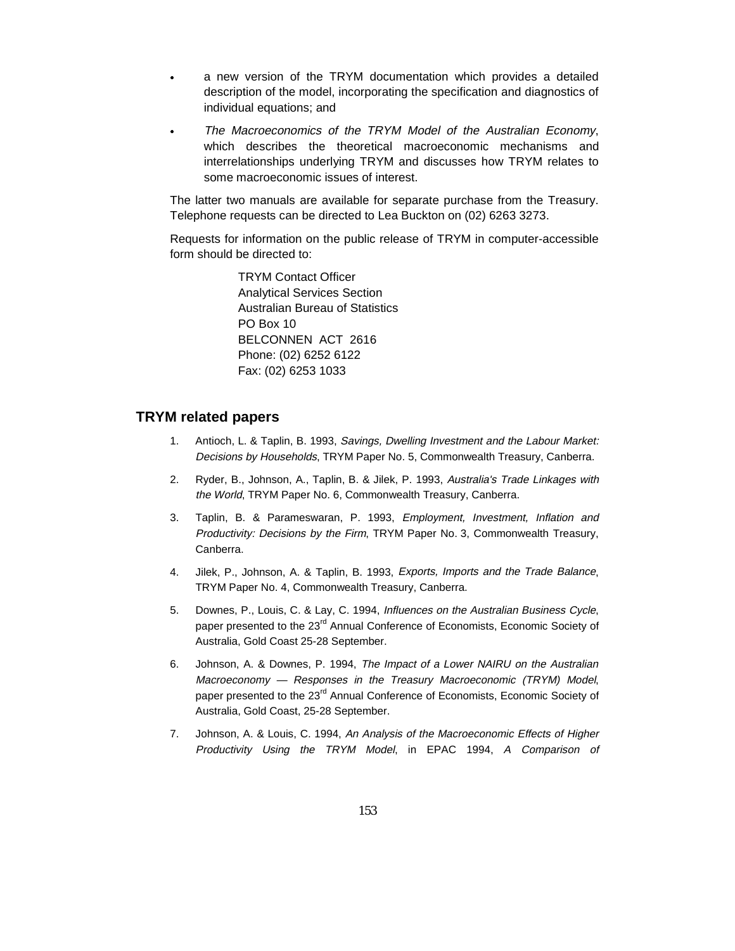- a new version of the TRYM documentation which provides a detailed description of the model, incorporating the specification and diagnostics of individual equations; and
- $\overline{a}$  The Macroeconomics of the TRYM Model of the Australian Economy, which describes the theoretical macroeconomic mechanisms and interrelationships underlying TRYM and discusses how TRYM relates to some macroeconomic issues of interest.

The latter two manuals are available for separate purchase from the Treasury. Telephone requests can be directed to Lea Buckton on (02) 6263 3273.

Requests for information on the public release of TRYM in computer-accessible form should be directed to:

> TRYM Contact Officer Analytical Services Section Australian Bureau of Statistics PO Box 10 BELCONNEN ACT 2616 Phone: (02) 6252 6122 Fax: (02) 6253 1033

### **TRYM related papers**

 $\bullet$ 

- 1. Antioch, L. & Taplin, B. 1993, Savings, Dwelling Investment and the Labour Market: Decisions by Households, TRYM Paper No. 5, Commonwealth Treasury, Canberra.
- 2. Ryder, B., Johnson, A., Taplin, B. & Jilek, P. 1993, Australia's Trade Linkages with the World, TRYM Paper No. 6, Commonwealth Treasury, Canberra.
- 3. Taplin, B. & Parameswaran, P. 1993, Employment, Investment, Inflation and Productivity: Decisions by the Firm, TRYM Paper No. 3, Commonwealth Treasury, Canberra.
- 4. Jilek, P., Johnson, A. & Taplin, B. 1993, Exports, Imports and the Trade Balance, TRYM Paper No. 4, Commonwealth Treasury, Canberra.
- 5. Downes, P., Louis, C. & Lay, C. 1994, Influences on the Australian Business Cycle, paper presented to the 23<sup>rd</sup> Annual Conference of Economists, Economic Society of Australia, Gold Coast 25-28 September.
- 6. Johnson, A. & Downes, P. 1994, The Impact of a Lower NAIRU on the Australian Macroeconomy — Responses in the Treasury Macroeconomic (TRYM) Model, paper presented to the 23<sup>rd</sup> Annual Conference of Economists, Economic Society of Australia, Gold Coast, 25-28 September.
- 7. Johnson, A. & Louis, C. 1994, An Analysis of the Macroeconomic Effects of Higher Productivity Using the TRYM Model, in EPAC 1994, A Comparison of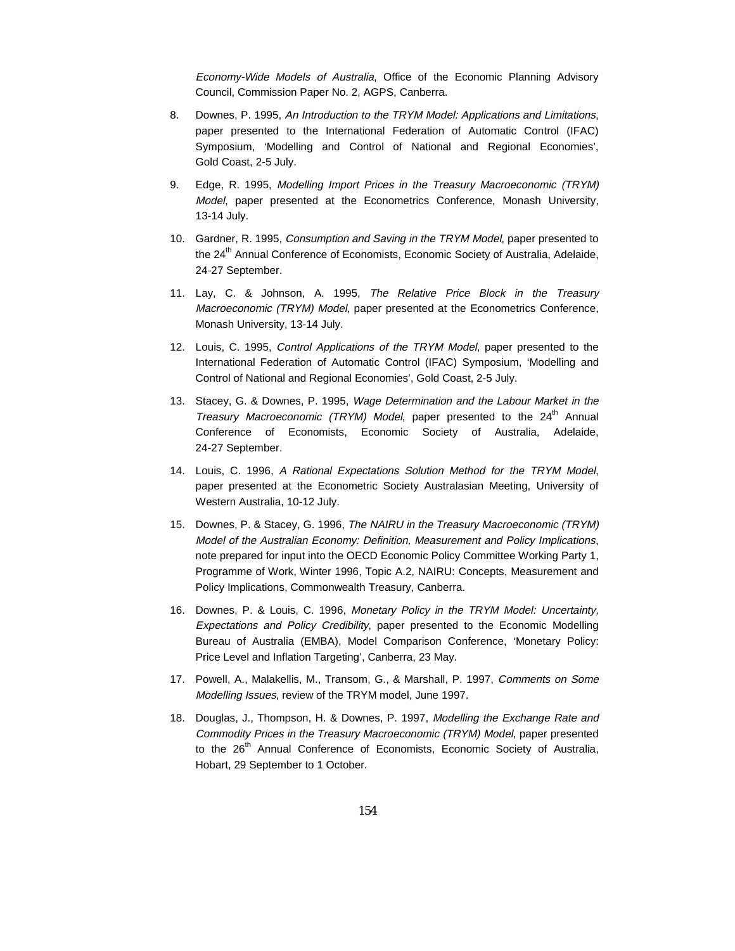Economy-Wide Models of Australia, Office of the Economic Planning Advisory Council, Commission Paper No. 2, AGPS, Canberra.

- 8. Downes, P. 1995, An Introduction to the TRYM Model: Applications and Limitations, paper presented to the International Federation of Automatic Control (IFAC) Symposium, 'Modelling and Control of National and Regional Economies', Gold Coast, 2-5 July.
- 9. Edge, R. 1995, Modelling Import Prices in the Treasury Macroeconomic (TRYM) Model, paper presented at the Econometrics Conference, Monash University, 13-14 July.
- 10. Gardner, R. 1995, Consumption and Saving in the TRYM Model, paper presented to the 24<sup>th</sup> Annual Conference of Economists, Economic Society of Australia, Adelaide, 24-27 September.
- 11. Lay, C. & Johnson, A. 1995, The Relative Price Block in the Treasury Macroeconomic (TRYM) Model, paper presented at the Econometrics Conference, Monash University, 13-14 July.
- 12. Louis, C. 1995, Control Applications of the TRYM Model, paper presented to the International Federation of Automatic Control (IFAC) Symposium, 'Modelling and Control of National and Regional Economies', Gold Coast, 2-5 July.
- 13. Stacey, G. & Downes, P. 1995, Wage Determination and the Labour Market in the Treasury Macroeconomic (TRYM) Model, paper presented to the  $24<sup>th</sup>$  Annual Conference of Economists, Economic Society of Australia, Adelaide, 24-27 September.
- 14. Louis, C. 1996, A Rational Expectations Solution Method for the TRYM Model, paper presented at the Econometric Society Australasian Meeting, University of Western Australia, 10-12 July.
- 15. Downes, P. & Stacey, G. 1996, The NAIRU in the Treasury Macroeconomic (TRYM) Model of the Australian Economy: Definition, Measurement and Policy Implications, note prepared for input into the OECD Economic Policy Committee Working Party 1, Programme of Work, Winter 1996, Topic A.2, NAIRU: Concepts, Measurement and Policy Implications, Commonwealth Treasury, Canberra.
- 16. Downes, P. & Louis, C. 1996, Monetary Policy in the TRYM Model: Uncertainty, Expectations and Policy Credibility, paper presented to the Economic Modelling Bureau of Australia (EMBA), Model Comparison Conference, 'Monetary Policy: Price Level and Inflation Targeting', Canberra, 23 May.
- 17. Powell, A., Malakellis, M., Transom, G., & Marshall, P. 1997, Comments on Some Modelling Issues, review of the TRYM model, June 1997.
- 18. Douglas, J., Thompson, H. & Downes, P. 1997, Modelling the Exchange Rate and Commodity Prices in the Treasury Macroeconomic (TRYM) Model, paper presented to the 26<sup>th</sup> Annual Conference of Economists, Economic Society of Australia, Hobart, 29 September to 1 October.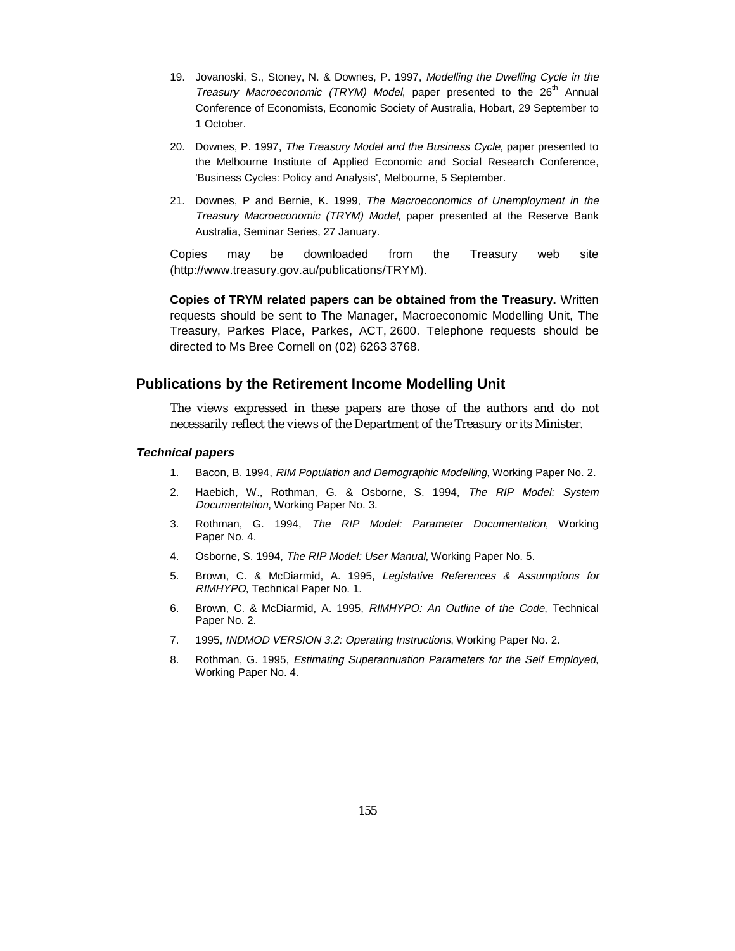- 19. Jovanoski, S., Stoney, N. & Downes, P. 1997, Modelling the Dwelling Cycle in the Treasury Macroeconomic (TRYM) Model, paper presented to the  $26<sup>th</sup>$  Annual Conference of Economists, Economic Society of Australia, Hobart, 29 September to 1 October.
- 20. Downes, P. 1997, The Treasury Model and the Business Cycle, paper presented to the Melbourne Institute of Applied Economic and Social Research Conference, 'Business Cycles: Policy and Analysis', Melbourne, 5 September.
- 21. Downes, P and Bernie, K. 1999, The Macroeconomics of Unemployment in the Treasury Macroeconomic (TRYM) Model, paper presented at the Reserve Bank Australia, Seminar Series, 27 January.

Copies may be downloaded from the Treasury web site (http://www.treasury.gov.au/publications/TRYM).

**Copies of TRYM related papers can be obtained from the Treasury.** Written requests should be sent to The Manager, Macroeconomic Modelling Unit, The Treasury, Parkes Place, Parkes, ACT, 2600. Telephone requests should be directed to Ms Bree Cornell on (02) 6263 3768.

#### **Publications by the Retirement Income Modelling Unit**

The views expressed in these papers are those of the authors and do not necessarily reflect the views of the Department of the Treasury or its Minister.

#### **Technical papers**

- 1. Bacon, B. 1994, RIM Population and Demographic Modelling, Working Paper No. 2.
- 2. Haebich, W., Rothman, G. & Osborne, S. 1994, The RIP Model: System Documentation, Working Paper No. 3.
- 3. Rothman, G. 1994, The RIP Model: Parameter Documentation, Working Paper No. 4.
- 4. Osborne, S. 1994, The RIP Model: User Manual, Working Paper No. 5.
- 5. Brown, C. & McDiarmid, A. 1995, Legislative References & Assumptions for RIMHYPO, Technical Paper No. 1.
- 6. Brown, C. & McDiarmid, A. 1995, RIMHYPO: An Outline of the Code, Technical Paper No. 2.
- 7. 1995, INDMOD VERSION 3.2: Operating Instructions, Working Paper No. 2.
- 8. Rothman, G. 1995, Estimating Superannuation Parameters for the Self Employed, Working Paper No. 4.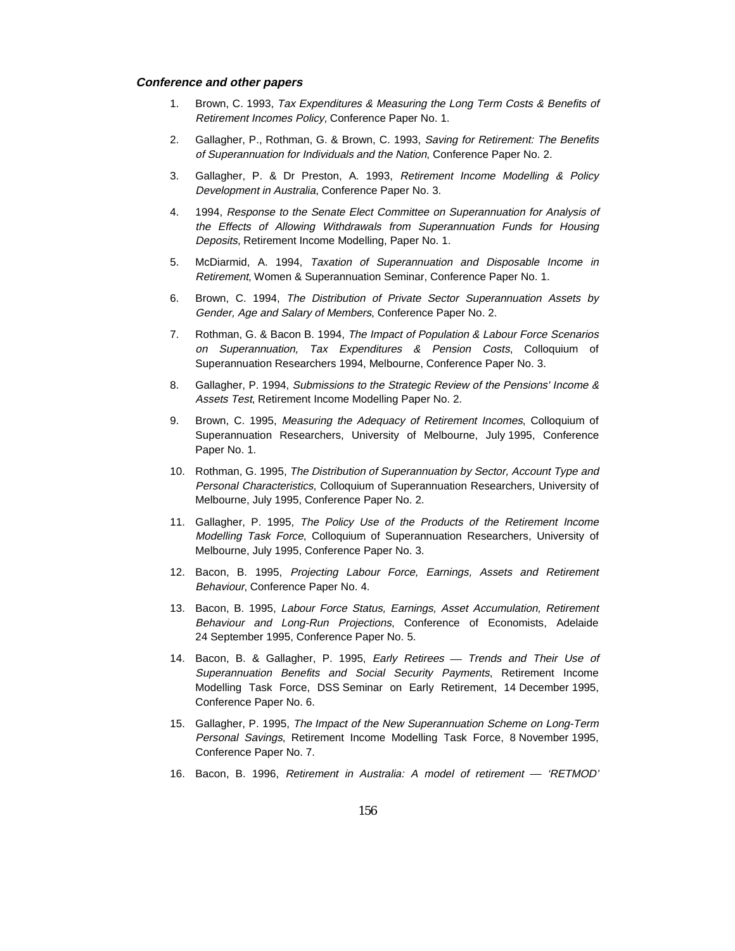#### **Conference and other papers**

- 1. Brown, C. 1993, Tax Expenditures & Measuring the Long Term Costs & Benefits of Retirement Incomes Policy, Conference Paper No. 1.
- 2. Gallagher, P., Rothman, G. & Brown, C. 1993, Saving for Retirement: The Benefits of Superannuation for Individuals and the Nation, Conference Paper No. 2.
- 3. Gallagher, P. & Dr Preston, A. 1993, Retirement Income Modelling & Policy Development in Australia, Conference Paper No. 3.
- 4. 1994, Response to the Senate Elect Committee on Superannuation for Analysis of the Effects of Allowing Withdrawals from Superannuation Funds for Housing Deposits, Retirement Income Modelling, Paper No. 1.
- 5. McDiarmid, A. 1994, Taxation of Superannuation and Disposable Income in Retirement, Women & Superannuation Seminar, Conference Paper No. 1.
- 6. Brown, C. 1994, The Distribution of Private Sector Superannuation Assets by Gender, Age and Salary of Members, Conference Paper No. 2.
- 7. Rothman, G. & Bacon B. 1994, The Impact of Population & Labour Force Scenarios on Superannuation, Tax Expenditures & Pension Costs, Colloquium of Superannuation Researchers 1994, Melbourne, Conference Paper No. 3.
- 8. Gallagher, P. 1994, Submissions to the Strategic Review of the Pensions' Income & Assets Test, Retirement Income Modelling Paper No. 2.
- 9. Brown, C. 1995, Measuring the Adequacy of Retirement Incomes, Colloquium of Superannuation Researchers, University of Melbourne, July 1995, Conference Paper No. 1.
- 10. Rothman, G. 1995, The Distribution of Superannuation by Sector, Account Type and Personal Characteristics, Colloquium of Superannuation Researchers, University of Melbourne, July 1995, Conference Paper No. 2.
- 11. Gallagher, P. 1995, The Policy Use of the Products of the Retirement Income Modelling Task Force, Colloquium of Superannuation Researchers, University of Melbourne, July 1995, Conference Paper No. 3.
- 12. Bacon, B. 1995, Projecting Labour Force, Earnings, Assets and Retirement Behaviour, Conference Paper No. 4.
- 13. Bacon, B. 1995, Labour Force Status, Earnings, Asset Accumulation, Retirement Behaviour and Long-Run Projections, Conference of Economists, Adelaide 24 September 1995, Conference Paper No. 5.
- 14. Bacon, B. & Gallagher, P. 1995, Early Retirees Trends and Their Use of Superannuation Benefits and Social Security Payments, Retirement Income Modelling Task Force, DSS Seminar on Early Retirement, 14 December 1995, Conference Paper No. 6.
- 15. Gallagher, P. 1995, The Impact of the New Superannuation Scheme on Long-Term Personal Savings, Retirement Income Modelling Task Force, 8 November 1995, Conference Paper No. 7.
- 16. Bacon, B. 1996, Retirement in Australia: A model of retirement 'RETMOD'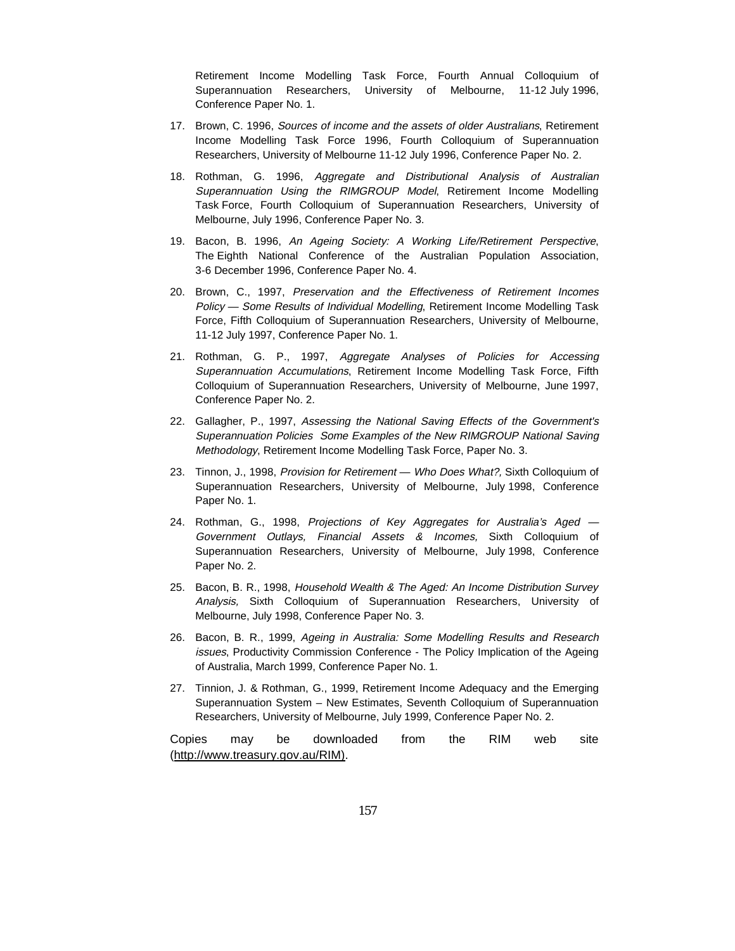Retirement Income Modelling Task Force, Fourth Annual Colloquium of Superannuation Researchers, University of Melbourne, 11-12 July 1996, Conference Paper No. 1.

- 17. Brown, C. 1996, Sources of income and the assets of older Australians, Retirement Income Modelling Task Force 1996, Fourth Colloquium of Superannuation Researchers, University of Melbourne 11-12 July 1996, Conference Paper No. 2.
- 18. Rothman, G. 1996, Aggregate and Distributional Analysis of Australian Superannuation Using the RIMGROUP Model, Retirement Income Modelling Task Force, Fourth Colloquium of Superannuation Researchers, University of Melbourne, July 1996, Conference Paper No. 3.
- 19. Bacon, B. 1996, An Ageing Society: A Working Life/Retirement Perspective, The Eighth National Conference of the Australian Population Association, 3-6 December 1996, Conference Paper No. 4.
- 20. Brown, C., 1997, Preservation and the Effectiveness of Retirement Incomes Policy — Some Results of Individual Modelling, Retirement Income Modelling Task Force, Fifth Colloquium of Superannuation Researchers, University of Melbourne, 11-12 July 1997, Conference Paper No. 1.
- 21. Rothman, G. P., 1997, Aggregate Analyses of Policies for Accessing Superannuation Accumulations, Retirement Income Modelling Task Force, Fifth Colloquium of Superannuation Researchers, University of Melbourne, June 1997, Conference Paper No. 2.
- 22. Gallagher, P., 1997, Assessing the National Saving Effects of the Government's Superannuation Policies Some Examples of the New RIMGROUP National Saving Methodology, Retirement Income Modelling Task Force, Paper No. 3.
- 23. Tinnon, J., 1998, Provision for Retirement Who Does What?, Sixth Colloquium of Superannuation Researchers, University of Melbourne, July 1998, Conference Paper No. 1.
- 24. Rothman, G., 1998, Projections of Key Aggregates for Australia's Aged -Government Outlays, Financial Assets & Incomes, Sixth Colloquium of Superannuation Researchers, University of Melbourne, July 1998, Conference Paper No. 2.
- 25. Bacon, B. R., 1998, Household Wealth & The Aged: An Income Distribution Survey Analysis, Sixth Colloquium of Superannuation Researchers, University of Melbourne, July 1998, Conference Paper No. 3.
- 26. Bacon, B. R., 1999, Ageing in Australia: Some Modelling Results and Research issues, Productivity Commission Conference - The Policy Implication of the Ageing of Australia, March 1999, Conference Paper No. 1.
- 27. Tinnion, J. & Rothman, G., 1999, Retirement Income Adequacy and the Emerging Superannuation System – New Estimates, Seventh Colloquium of Superannuation Researchers, University of Melbourne, July 1999, Conference Paper No. 2.

Copies may be downloaded from the RIM web site (http://www.treasury.gov.au/RIM).